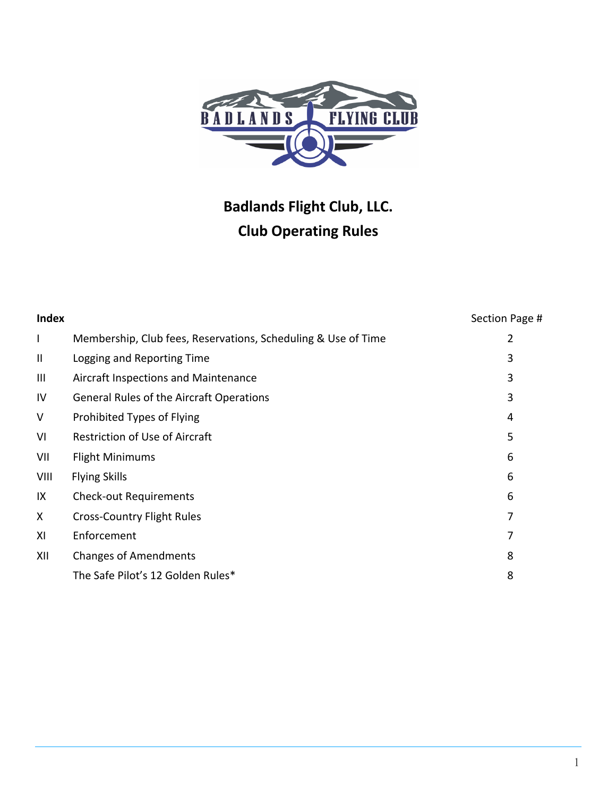

# **Badlands Flight Club, LLC. Club Operating Rules**

| <b>Index</b>          |                                                               | Section Page # |
|-----------------------|---------------------------------------------------------------|----------------|
| $\mathsf{I}$          | Membership, Club fees, Reservations, Scheduling & Use of Time | 2              |
| $\mathbf{\mathsf{I}}$ | Logging and Reporting Time                                    | 3              |
| Ш                     | Aircraft Inspections and Maintenance                          | 3              |
| IV                    | <b>General Rules of the Aircraft Operations</b>               | 3              |
| V                     | Prohibited Types of Flying                                    | 4              |
| VI                    | <b>Restriction of Use of Aircraft</b>                         | 5              |
| VII                   | <b>Flight Minimums</b>                                        | 6              |
| VIII                  | <b>Flying Skills</b>                                          | 6              |
| IX                    | <b>Check-out Requirements</b>                                 | 6              |
| X                     | <b>Cross-Country Flight Rules</b>                             | 7              |
| XI                    | Enforcement                                                   | 7              |
| XII                   | <b>Changes of Amendments</b>                                  | 8              |
|                       | The Safe Pilot's 12 Golden Rules*                             | 8              |
|                       |                                                               |                |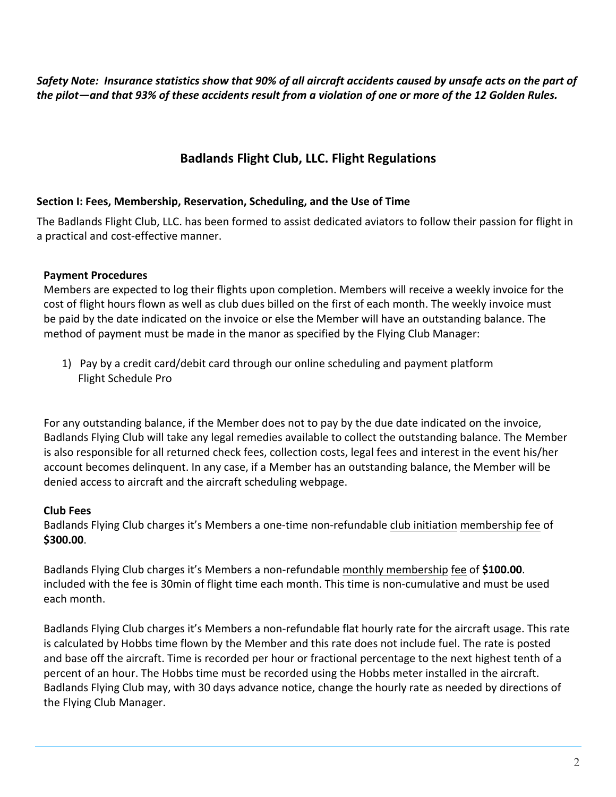Safety Note: Insurance statistics show that 90% of all aircraft accidents caused by unsafe acts on the part of the pilot—and that 93% of these accidents result from a violation of one or more of the 12 Golden Rules.

## **Badlands Flight Club, LLC. Flight Regulations**

#### **Section I: Fees, Membership, Reservation, Scheduling, and the Use of Time**

The Badlands Flight Club, LLC. has been formed to assist dedicated aviators to follow their passion for flight in a practical and cost-effective manner.

## **Payment Procedures**

Members are expected to log their flights upon completion. Members will receive a weekly invoice for the cost of flight hours flown as well as club dues billed on the first of each month. The weekly invoice must be paid by the date indicated on the invoice or else the Member will have an outstanding balance. The method of payment must be made in the manor as specified by the Flying Club Manager:

1) Pay by a credit card/debit card through our online scheduling and payment platform Flight Schedule Pro

For any outstanding balance, if the Member does not to pay by the due date indicated on the invoice, Badlands Flying Club will take any legal remedies available to collect the outstanding balance. The Member is also responsible for all returned check fees, collection costs, legal fees and interest in the event his/her account becomes delinquent. In any case, if a Member has an outstanding balance, the Member will be denied access to aircraft and the aircraft scheduling webpage.

## **Club Fees**

Badlands Flying Club charges it's Members a one-time non-refundable club initiation membership fee of **\$300.00**.

Badlands Flying Club charges it's Members a non-refundable monthly membership fee of **\$100.00**. included with the fee is 30min of flight time each month. This time is non-cumulative and must be used each month.

Badlands Flying Club charges it's Members a non-refundable flat hourly rate for the aircraft usage. This rate is calculated by Hobbs time flown by the Member and this rate does not include fuel. The rate is posted and base off the aircraft. Time is recorded per hour or fractional percentage to the next highest tenth of a percent of an hour. The Hobbs time must be recorded using the Hobbs meter installed in the aircraft. Badlands Flying Club may, with 30 days advance notice, change the hourly rate as needed by directions of the Flying Club Manager.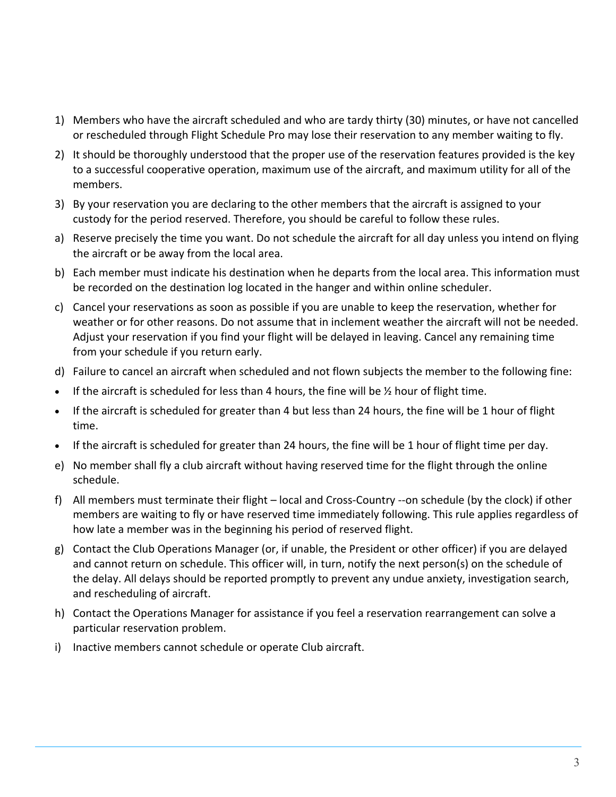- 1) Members who have the aircraft scheduled and who are tardy thirty (30) minutes, or have not cancelled or rescheduled through Flight Schedule Pro may lose their reservation to any member waiting to fly.
- 2) It should be thoroughly understood that the proper use of the reservation features provided is the key to a successful cooperative operation, maximum use of the aircraft, and maximum utility for all of the members.
- 3) By your reservation you are declaring to the other members that the aircraft is assigned to your custody for the period reserved. Therefore, you should be careful to follow these rules.
- a) Reserve precisely the time you want. Do not schedule the aircraft for all day unless you intend on flying the aircraft or be away from the local area.
- b) Each member must indicate his destination when he departs from the local area. This information must be recorded on the destination log located in the hanger and within online scheduler.
- c) Cancel your reservations as soon as possible if you are unable to keep the reservation, whether for weather or for other reasons. Do not assume that in inclement weather the aircraft will not be needed. Adjust your reservation if you find your flight will be delayed in leaving. Cancel any remaining time from your schedule if you return early.
- d) Failure to cancel an aircraft when scheduled and not flown subjects the member to the following fine:
- If the aircraft is scheduled for less than 4 hours, the fine will be  $\frac{1}{2}$  hour of flight time.
- If the aircraft is scheduled for greater than 4 but less than 24 hours, the fine will be 1 hour of flight time.
- If the aircraft is scheduled for greater than 24 hours, the fine will be 1 hour of flight time per day.
- e) No member shall fly a club aircraft without having reserved time for the flight through the online schedule.
- f) All members must terminate their flight local and Cross-Country --on schedule (by the clock) if other members are waiting to fly or have reserved time immediately following. This rule applies regardless of how late a member was in the beginning his period of reserved flight.
- g) Contact the Club Operations Manager (or, if unable, the President or other officer) if you are delayed and cannot return on schedule. This officer will, in turn, notify the next person(s) on the schedule of the delay. All delays should be reported promptly to prevent any undue anxiety, investigation search, and rescheduling of aircraft.
- h) Contact the Operations Manager for assistance if you feel a reservation rearrangement can solve a particular reservation problem.
- i) Inactive members cannot schedule or operate Club aircraft.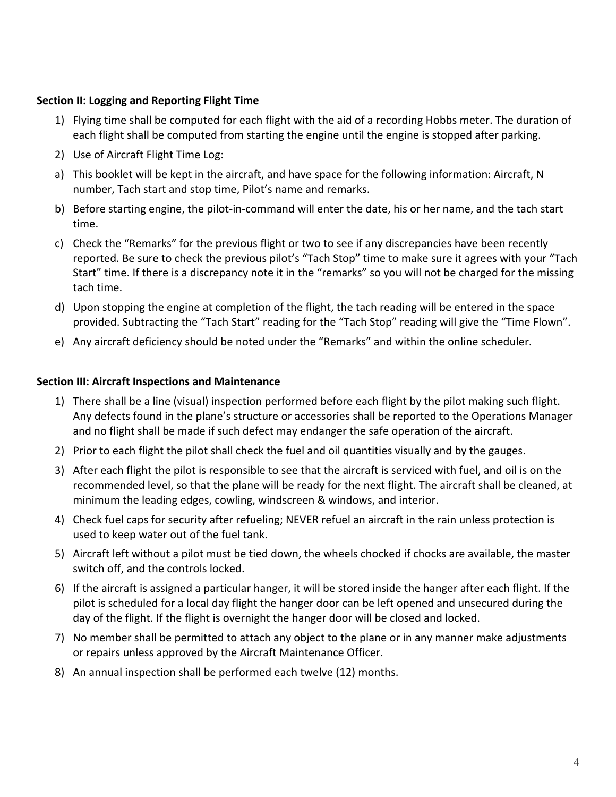#### **Section II: Logging and Reporting Flight Time**

- 1) Flying time shall be computed for each flight with the aid of a recording Hobbs meter. The duration of each flight shall be computed from starting the engine until the engine is stopped after parking.
- 2) Use of Aircraft Flight Time Log:
- a) This booklet will be kept in the aircraft, and have space for the following information: Aircraft, N number, Tach start and stop time, Pilot's name and remarks.
- b) Before starting engine, the pilot-in-command will enter the date, his or her name, and the tach start time.
- c) Check the "Remarks" for the previous flight or two to see if any discrepancies have been recently reported. Be sure to check the previous pilot's "Tach Stop" time to make sure it agrees with your "Tach Start" time. If there is a discrepancy note it in the "remarks" so you will not be charged for the missing tach time.
- d) Upon stopping the engine at completion of the flight, the tach reading will be entered in the space provided. Subtracting the "Tach Start" reading for the "Tach Stop" reading will give the "Time Flown".
- e) Any aircraft deficiency should be noted under the "Remarks" and within the online scheduler.

#### **Section III: Aircraft Inspections and Maintenance**

- 1) There shall be a line (visual) inspection performed before each flight by the pilot making such flight. Any defects found in the plane's structure or accessories shall be reported to the Operations Manager and no flight shall be made if such defect may endanger the safe operation of the aircraft.
- 2) Prior to each flight the pilot shall check the fuel and oil quantities visually and by the gauges.
- 3) After each flight the pilot is responsible to see that the aircraft is serviced with fuel, and oil is on the recommended level, so that the plane will be ready for the next flight. The aircraft shall be cleaned, at minimum the leading edges, cowling, windscreen & windows, and interior.
- 4) Check fuel caps for security after refueling; NEVER refuel an aircraft in the rain unless protection is used to keep water out of the fuel tank.
- 5) Aircraft left without a pilot must be tied down, the wheels chocked if chocks are available, the master switch off, and the controls locked.
- 6) If the aircraft is assigned a particular hanger, it will be stored inside the hanger after each flight. If the pilot is scheduled for a local day flight the hanger door can be left opened and unsecured during the day of the flight. If the flight is overnight the hanger door will be closed and locked.
- 7) No member shall be permitted to attach any object to the plane or in any manner make adjustments or repairs unless approved by the Aircraft Maintenance Officer.
- 8) An annual inspection shall be performed each twelve (12) months.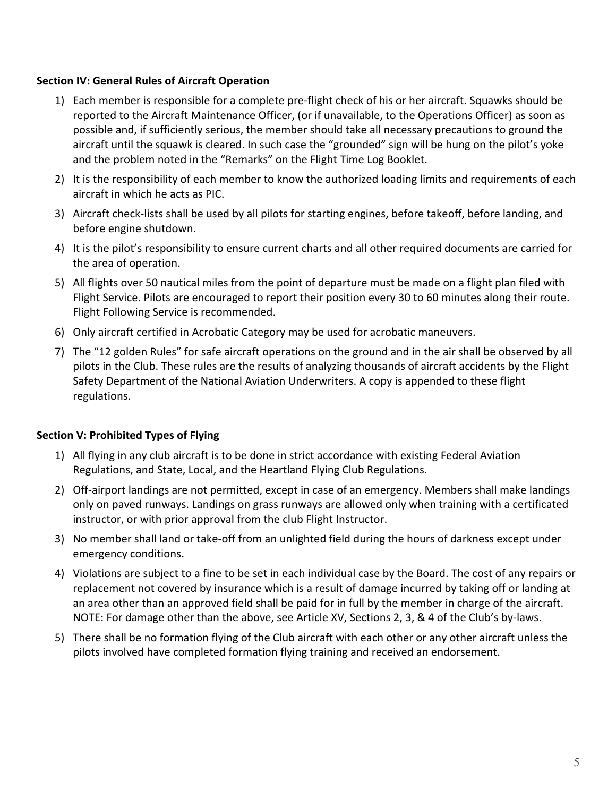#### **Section IV: General Rules of Aircraft Operation**

- 1) Each member is responsible for a complete pre-flight check of his or her aircraft. Squawks should be reported to the Aircraft Maintenance Officer, (or if unavailable, to the Operations Officer) as soon as possible and, if sufficiently serious, the member should take all necessary precautions to ground the aircraft until the squawk is cleared. In such case the "grounded" sign will be hung on the pilot's yoke and the problem noted in the "Remarks" on the Flight Time Log Booklet.
- 2) It is the responsibility of each member to know the authorized loading limits and requirements of each aircraft in which he acts as PIC.
- 3) Aircraft check-lists shall be used by all pilots for starting engines, before takeoff, before landing, and before engine shutdown.
- 4) It is the pilot's responsibility to ensure current charts and all other required documents are carried for the area of operation.
- 5) All flights over 50 nautical miles from the point of departure must be made on a flight plan filed with Flight Service. Pilots are encouraged to report their position every 30 to 60 minutes along their route. Flight Following Service is recommended.
- 6) Only aircraft certified in Acrobatic Category may be used for acrobatic maneuvers.
- 7) The "12 golden Rules" for safe aircraft operations on the ground and in the air shall be observed by all pilots in the Club. These rules are the results of analyzing thousands of aircraft accidents by the Flight Safety Department of the National Aviation Underwriters. A copy is appended to these flight regulations.

#### **Section V: Prohibited Types of Flying**

- 1) All flying in any club aircraft is to be done in strict accordance with existing Federal Aviation Regulations, and State, Local, and the Heartland Flying Club Regulations.
- 2) Off-airport landings are not permitted, except in case of an emergency. Members shall make landings only on paved runways. Landings on grass runways are allowed only when training with a certificated instructor, or with prior approval from the club Flight Instructor.
- 3) No member shall land or take-off from an unlighted field during the hours of darkness except under emergency conditions.
- 4) Violations are subject to a fine to be set in each individual case by the Board. The cost of any repairs or replacement not covered by insurance which is a result of damage incurred by taking off or landing at an area other than an approved field shall be paid for in full by the member in charge of the aircraft. NOTE: For damage other than the above, see Article XV, Sections 2, 3, & 4 of the Club's by-laws.
- 5) There shall be no formation flying of the Club aircraft with each other or any other aircraft unless the pilots involved have completed formation flying training and received an endorsement.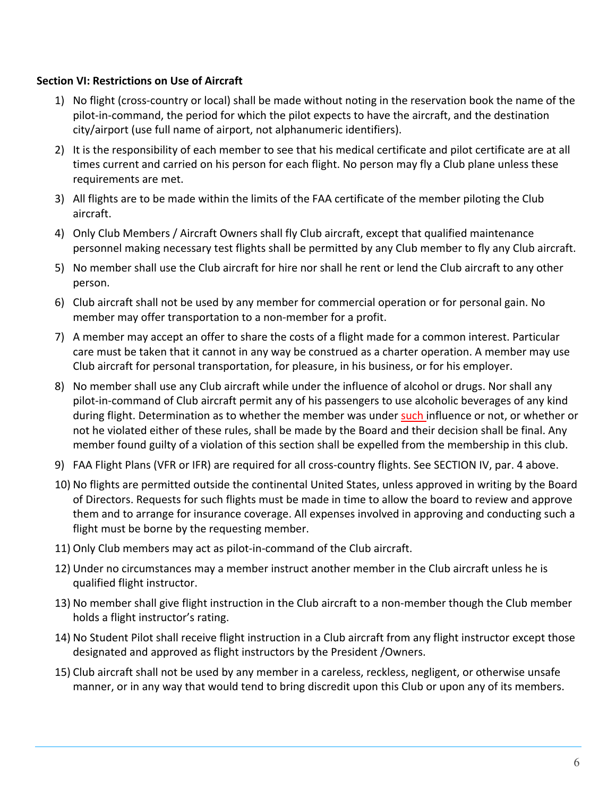#### **Section VI: Restrictions on Use of Aircraft**

- 1) No flight (cross-country or local) shall be made without noting in the reservation book the name of the pilot-in-command, the period for which the pilot expects to have the aircraft, and the destination city/airport (use full name of airport, not alphanumeric identifiers).
- 2) It is the responsibility of each member to see that his medical certificate and pilot certificate are at all times current and carried on his person for each flight. No person may fly a Club plane unless these requirements are met.
- 3) All flights are to be made within the limits of the FAA certificate of the member piloting the Club aircraft.
- 4) Only Club Members / Aircraft Owners shall fly Club aircraft, except that qualified maintenance personnel making necessary test flights shall be permitted by any Club member to fly any Club aircraft.
- 5) No member shall use the Club aircraft for hire nor shall he rent or lend the Club aircraft to any other person.
- 6) Club aircraft shall not be used by any member for commercial operation or for personal gain. No member may offer transportation to a non-member for a profit.
- 7) A member may accept an offer to share the costs of a flight made for a common interest. Particular care must be taken that it cannot in any way be construed as a charter operation. A member may use Club aircraft for personal transportation, for pleasure, in his business, or for his employer.
- 8) No member shall use any Club aircraft while under the influence of alcohol or drugs. Nor shall any pilot-in-command of Club aircraft permit any of his passengers to use alcoholic beverages of any kind during flight. Determination as to whether the member was under such influence or not, or whether or not he violated either of these rules, shall be made by the Board and their decision shall be final. Any member found guilty of a violation of this section shall be expelled from the membership in this club.
- 9) FAA Flight Plans (VFR or IFR) are required for all cross-country flights. See SECTION IV, par. 4 above.
- 10) No flights are permitted outside the continental United States, unless approved in writing by the Board of Directors. Requests for such flights must be made in time to allow the board to review and approve them and to arrange for insurance coverage. All expenses involved in approving and conducting such a flight must be borne by the requesting member.
- 11) Only Club members may act as pilot-in-command of the Club aircraft.
- 12) Under no circumstances may a member instruct another member in the Club aircraft unless he is qualified flight instructor.
- 13) No member shall give flight instruction in the Club aircraft to a non-member though the Club member holds a flight instructor's rating.
- 14) No Student Pilot shall receive flight instruction in a Club aircraft from any flight instructor except those designated and approved as flight instructors by the President /Owners.
- 15) Club aircraft shall not be used by any member in a careless, reckless, negligent, or otherwise unsafe manner, or in any way that would tend to bring discredit upon this Club or upon any of its members.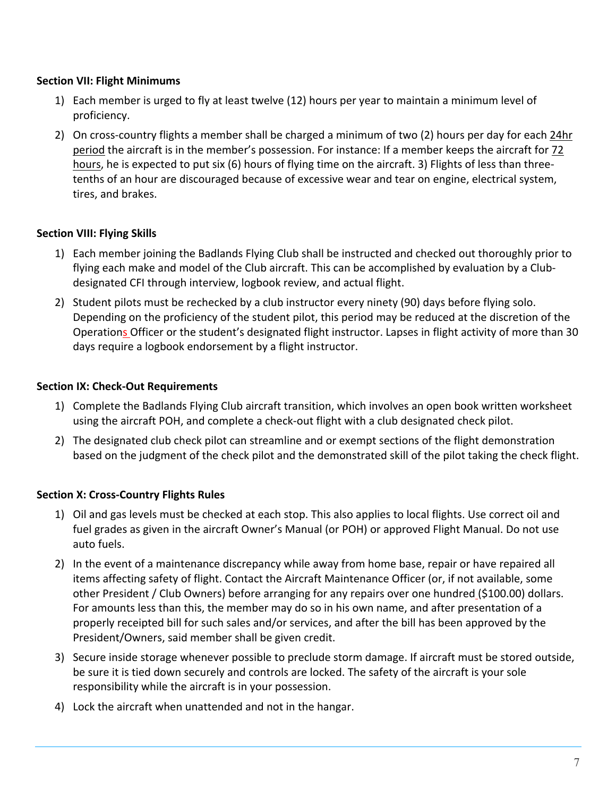#### **Section VII: Flight Minimums**

- 1) Each member is urged to fly at least twelve (12) hours per year to maintain a minimum level of proficiency.
- 2) On cross-country flights a member shall be charged a minimum of two (2) hours per day for each 24hr period the aircraft is in the member's possession. For instance: If a member keeps the aircraft for 72 hours, he is expected to put six (6) hours of flying time on the aircraft. 3) Flights of less than threetenths of an hour are discouraged because of excessive wear and tear on engine, electrical system, tires, and brakes.

## **Section VIII: Flying Skills**

- 1) Each member joining the Badlands Flying Club shall be instructed and checked out thoroughly prior to flying each make and model of the Club aircraft. This can be accomplished by evaluation by a Clubdesignated CFI through interview, logbook review, and actual flight.
- 2) Student pilots must be rechecked by a club instructor every ninety (90) days before flying solo. Depending on the proficiency of the student pilot, this period may be reduced at the discretion of the Operations Officer or the student's designated flight instructor. Lapses in flight activity of more than 30 days require a logbook endorsement by a flight instructor.

## **Section IX: Check-Out Requirements**

- 1) Complete the Badlands Flying Club aircraft transition, which involves an open book written worksheet using the aircraft POH, and complete a check-out flight with a club designated check pilot.
- 2) The designated club check pilot can streamline and or exempt sections of the flight demonstration based on the judgment of the check pilot and the demonstrated skill of the pilot taking the check flight.

## **Section X: Cross-Country Flights Rules**

- 1) Oil and gas levels must be checked at each stop. This also applies to local flights. Use correct oil and fuel grades as given in the aircraft Owner's Manual (or POH) or approved Flight Manual. Do not use auto fuels.
- 2) In the event of a maintenance discrepancy while away from home base, repair or have repaired all items affecting safety of flight. Contact the Aircraft Maintenance Officer (or, if not available, some other President / Club Owners) before arranging for any repairs over one hundred (\$100.00) dollars. For amounts less than this, the member may do so in his own name, and after presentation of a properly receipted bill for such sales and/or services, and after the bill has been approved by the President/Owners, said member shall be given credit.
- 3) Secure inside storage whenever possible to preclude storm damage. If aircraft must be stored outside, be sure it is tied down securely and controls are locked. The safety of the aircraft is your sole responsibility while the aircraft is in your possession.
- 4) Lock the aircraft when unattended and not in the hangar.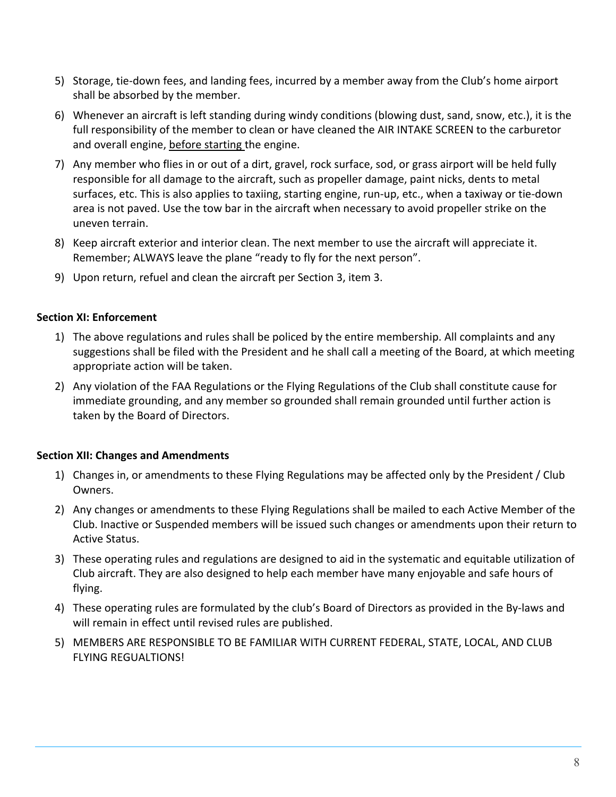- 5) Storage, tie-down fees, and landing fees, incurred by a member away from the Club's home airport shall be absorbed by the member.
- 6) Whenever an aircraft is left standing during windy conditions (blowing dust, sand, snow, etc.), it is the full responsibility of the member to clean or have cleaned the AIR INTAKE SCREEN to the carburetor and overall engine, before starting the engine.
- 7) Any member who flies in or out of a dirt, gravel, rock surface, sod, or grass airport will be held fully responsible for all damage to the aircraft, such as propeller damage, paint nicks, dents to metal surfaces, etc. This is also applies to taxiing, starting engine, run-up, etc., when a taxiway or tie-down area is not paved. Use the tow bar in the aircraft when necessary to avoid propeller strike on the uneven terrain.
- 8) Keep aircraft exterior and interior clean. The next member to use the aircraft will appreciate it. Remember; ALWAYS leave the plane "ready to fly for the next person".
- 9) Upon return, refuel and clean the aircraft per Section 3, item 3.

#### **Section XI: Enforcement**

- 1) The above regulations and rules shall be policed by the entire membership. All complaints and any suggestions shall be filed with the President and he shall call a meeting of the Board, at which meeting appropriate action will be taken.
- 2) Any violation of the FAA Regulations or the Flying Regulations of the Club shall constitute cause for immediate grounding, and any member so grounded shall remain grounded until further action is taken by the Board of Directors.

#### **Section XII: Changes and Amendments**

- 1) Changes in, or amendments to these Flying Regulations may be affected only by the President / Club Owners.
- 2) Any changes or amendments to these Flying Regulations shall be mailed to each Active Member of the Club. Inactive or Suspended members will be issued such changes or amendments upon their return to Active Status.
- 3) These operating rules and regulations are designed to aid in the systematic and equitable utilization of Club aircraft. They are also designed to help each member have many enjoyable and safe hours of flying.
- 4) These operating rules are formulated by the club's Board of Directors as provided in the By-laws and will remain in effect until revised rules are published.
- 5) MEMBERS ARE RESPONSIBLE TO BE FAMILIAR WITH CURRENT FEDERAL, STATE, LOCAL, AND CLUB FLYING REGUALTIONS!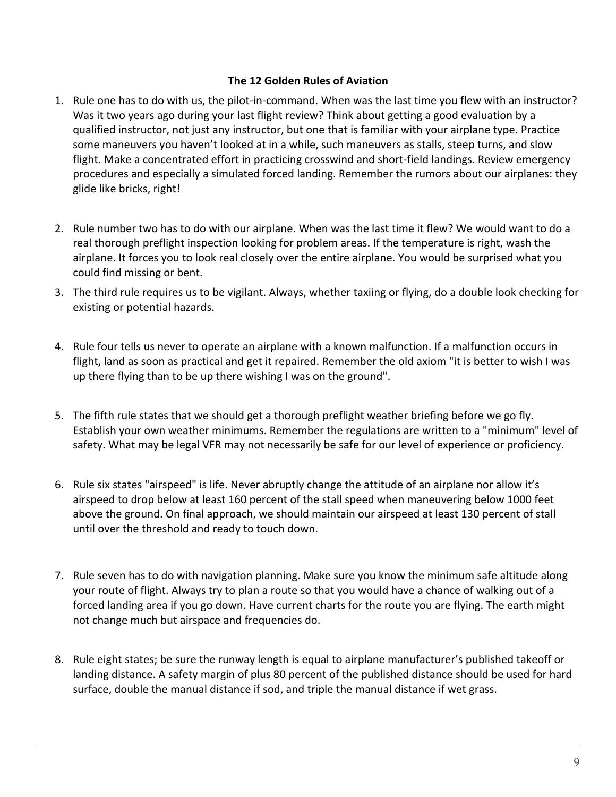#### **The 12 Golden Rules of Aviation**

- 1. Rule one has to do with us, the pilot-in-command. When was the last time you flew with an instructor? Was it two years ago during your last flight review? Think about getting a good evaluation by a qualified instructor, not just any instructor, but one that is familiar with your airplane type. Practice some maneuvers you haven't looked at in a while, such maneuvers as stalls, steep turns, and slow flight. Make a concentrated effort in practicing crosswind and short-field landings. Review emergency procedures and especially a simulated forced landing. Remember the rumors about our airplanes: they glide like bricks, right!
- 2. Rule number two has to do with our airplane. When was the last time it flew? We would want to do a real thorough preflight inspection looking for problem areas. If the temperature is right, wash the airplane. It forces you to look real closely over the entire airplane. You would be surprised what you could find missing or bent.
- 3. The third rule requires us to be vigilant. Always, whether taxiing or flying, do a double look checking for existing or potential hazards.
- 4. Rule four tells us never to operate an airplane with a known malfunction. If a malfunction occurs in flight, land as soon as practical and get it repaired. Remember the old axiom "it is better to wish I was up there flying than to be up there wishing I was on the ground".
- 5. The fifth rule states that we should get a thorough preflight weather briefing before we go fly. Establish your own weather minimums. Remember the regulations are written to a "minimum" level of safety. What may be legal VFR may not necessarily be safe for our level of experience or proficiency.
- 6. Rule six states "airspeed" is life. Never abruptly change the attitude of an airplane nor allow it's airspeed to drop below at least 160 percent of the stall speed when maneuvering below 1000 feet above the ground. On final approach, we should maintain our airspeed at least 130 percent of stall until over the threshold and ready to touch down.
- 7. Rule seven has to do with navigation planning. Make sure you know the minimum safe altitude along your route of flight. Always try to plan a route so that you would have a chance of walking out of a forced landing area if you go down. Have current charts for the route you are flying. The earth might not change much but airspace and frequencies do.
- 8. Rule eight states; be sure the runway length is equal to airplane manufacturer's published takeoff or landing distance. A safety margin of plus 80 percent of the published distance should be used for hard surface, double the manual distance if sod, and triple the manual distance if wet grass.